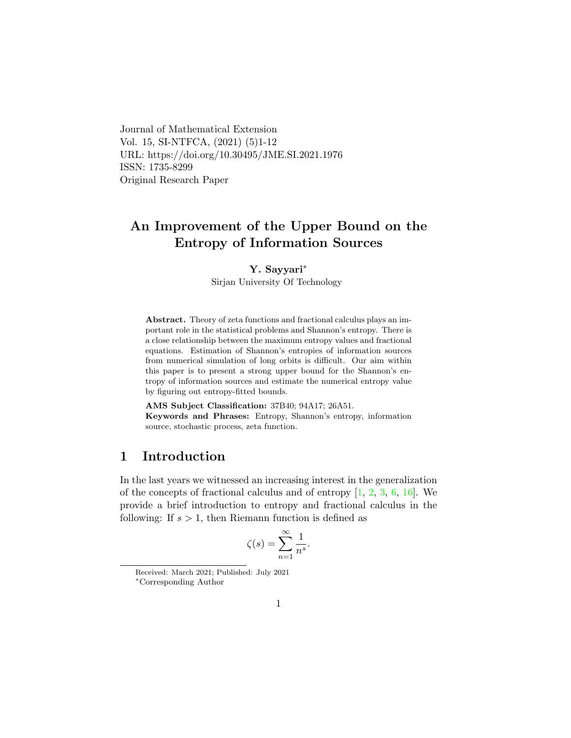Journal of Mathematical Extension Vol. 15, SI-NTFCA, (2021) (5)1-12 URL: https://doi.org/10.30495/JME.SI.2021.1976 ISSN: 1735-8299 Original Research Paper

# An Improvement of the Upper Bound on the Entropy of Information Sources

Y. Sayyari[∗](#page-0-0)

Sirjan University Of Technology

Abstract. Theory of zeta functions and fractional calculus plays an important role in the statistical problems and Shannon's entropy. There is a close relationship between the maximum entropy values and fractional equations. Estimation of Shannon's entropies of information sources from numerical simulation of long orbits is difficult. Our aim within this paper is to present a strong upper bound for the Shannon's entropy of information sources and estimate the numerical entropy value by figuring out entropy-fitted bounds.

AMS Subject Classification: 37B40; 94A17; 26A51. Keywords and Phrases: Entropy, Shannon's entropy, information source, stochastic process, zeta function.

## 1 Introduction

In the last years we witnessed an increasing interest in the generalization of the concepts of fractional calculus and of entropy  $[1, 2, 3, 6, 16]$  $[1, 2, 3, 6, 16]$  $[1, 2, 3, 6, 16]$  $[1, 2, 3, 6, 16]$  $[1, 2, 3, 6, 16]$  $[1, 2, 3, 6, 16]$  $[1, 2, 3, 6, 16]$  $[1, 2, 3, 6, 16]$  $[1, 2, 3, 6, 16]$ . We provide a brief introduction to entropy and fractional calculus in the following: If  $s > 1$ , then Riemann function is defined as

$$
\zeta(s) = \sum_{n=1}^{\infty} \frac{1}{n^s}.
$$

Received: March 2021; Published: July 2021

<span id="page-0-0"></span><sup>∗</sup>Corresponding Author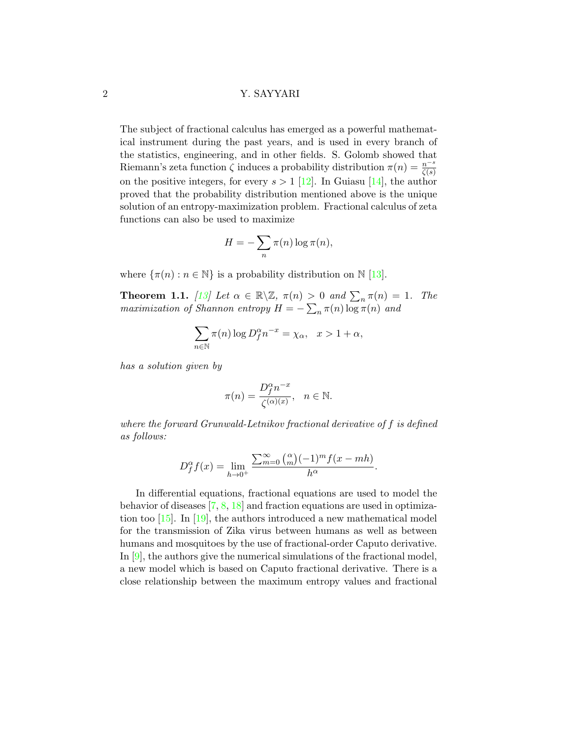The subject of fractional calculus has emerged as a powerful mathematical instrument during the past years, and is used in every branch of the statistics, engineering, and in other fields. S. Golomb showed that Riemann's zeta function  $\zeta$  induces a probability distribution  $\pi(n) = \frac{n^{-s}}{\zeta(s)}$ on the positive integers, for every  $s > 1$  [\[12\]](#page-10-1). In Guiasu [\[14\]](#page-10-2), the author proved that the probability distribution mentioned above is the unique solution of an entropy-maximization problem. Fractional calculus of zeta functions can also be used to maximize

$$
H = -\sum_{n} \pi(n) \log \pi(n),
$$

where  $\{\pi(n): n \in \mathbb{N}\}\$ is a probability distribution on  $\mathbb{N}$  [\[13\]](#page-10-3).

**Theorem 1.1.** [\[13\]](#page-10-3) Let  $\alpha \in \mathbb{R} \setminus \mathbb{Z}$ ,  $\pi(n) > 0$  and  $\sum_{n} \pi(n) = 1$ . The maximization of Shannon entropy  $H = -\sum_n \pi(n) \log \pi(n)$  and

$$
\sum_{n \in \mathbb{N}} \pi(n) \log D_f^{\alpha} n^{-x} = \chi_{\alpha}, \quad x > 1 + \alpha,
$$

has a solution given by

$$
\pi(n) = \frac{D_f^{\alpha} n^{-x}}{\zeta^{(\alpha)(x)}}, \quad n \in \mathbb{N}.
$$

where the forward Grunwald-Letnikov fractional derivative of f is defined as follows:

$$
D_f^{\alpha} f(x) = \lim_{h \to 0^+} \frac{\sum_{m=0}^{\infty} \binom{\alpha}{m} (-1)^m f(x - mh)}{h^{\alpha}}.
$$

In differential equations, fractional equations are used to model the behavior of diseases  $[7, 8, 18]$  $[7, 8, 18]$  $[7, 8, 18]$  $[7, 8, 18]$  $[7, 8, 18]$  and fraction equations are used in optimization too [\[15\]](#page-10-5). In [\[19\]](#page-11-0), the authors introduced a new mathematical model for the transmission of Zika virus between humans as well as between humans and mosquitoes by the use of fractional-order Caputo derivative. In [\[9\]](#page-10-6), the authors give the numerical simulations of the fractional model, a new model which is based on Caputo fractional derivative. There is a close relationship between the maximum entropy values and fractional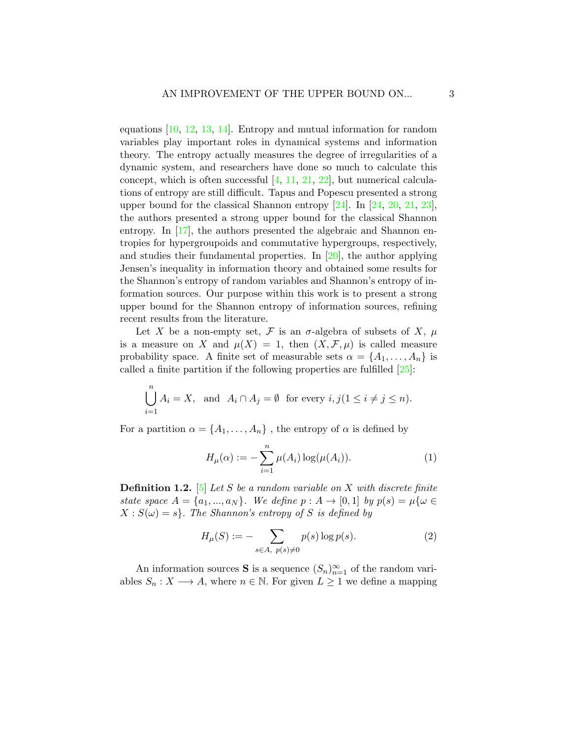equations  $[10, 12, 13, 14]$  $[10, 12, 13, 14]$  $[10, 12, 13, 14]$  $[10, 12, 13, 14]$  $[10, 12, 13, 14]$  $[10, 12, 13, 14]$  $[10, 12, 13, 14]$ . Entropy and mutual information for random variables play important roles in dynamical systems and information theory. The entropy actually measures the degree of irregularities of a dynamic system, and researchers have done so much to calculate this concept, which is often successful  $[4, 11, 21, 22]$  $[4, 11, 21, 22]$  $[4, 11, 21, 22]$  $[4, 11, 21, 22]$  $[4, 11, 21, 22]$  $[4, 11, 21, 22]$  $[4, 11, 21, 22]$ , but numerical calculations of entropy are still difficult. Tapus and Popescu presented a strong upper bound for the classical Shannon entropy [\[24\]](#page-11-3). In [\[24,](#page-11-3) [20,](#page-11-4) [21,](#page-11-1) [23\]](#page-11-5), the authors presented a strong upper bound for the classical Shannon entropy. In [\[17\]](#page-10-9), the authors presented the algebraic and Shannon entropies for hypergroupoids and commutative hypergroups, respectively, and studies their fundamental properties. In  $[20]$ , the author applying Jensen's inequality in information theory and obtained some results for the Shannon's entropy of random variables and Shannon's entropy of information sources. Our purpose within this work is to present a strong upper bound for the Shannon entropy of information sources, refining recent results from the literature.

Let X be a non-empty set, F is an  $\sigma$ -algebra of subsets of X,  $\mu$ is a measure on X and  $\mu(X) = 1$ , then  $(X, \mathcal{F}, \mu)$  is called measure probability space. A finite set of measurable sets  $\alpha = \{A_1, \ldots, A_n\}$  is called a finite partition if the following properties are fulfilled  $[25]$ :

$$
\bigcup_{i=1}^{n} A_i = X, \text{ and } A_i \cap A_j = \emptyset \text{ for every } i, j(1 \le i \ne j \le n).
$$

For a partition  $\alpha = \{A_1, \ldots, A_n\}$ , the entropy of  $\alpha$  is defined by

$$
H_{\mu}(\alpha) := -\sum_{i=1}^{n} \mu(A_i) \log(\mu(A_i)).
$$
 (1)

**Definition 1.2.** [\[5\]](#page-9-7) Let S be a random variable on X with discrete finite state space  $A = \{a_1, ..., a_N\}$ . We define  $p : A \rightarrow [0,1]$  by  $p(s) = \mu\{\omega \in$  $X: S(\omega) = s$ . The Shannon's entropy of S is defined by

$$
H_{\mu}(S) := -\sum_{s \in A, \ p(s) \neq 0} p(s) \log p(s).
$$
 (2)

An information sources S is a sequence  $(S_n)_{n=1}^{\infty}$  of the random variables  $S_n : X \longrightarrow A$ , where  $n \in \mathbb{N}$ . For given  $L \geq 1$  we define a mapping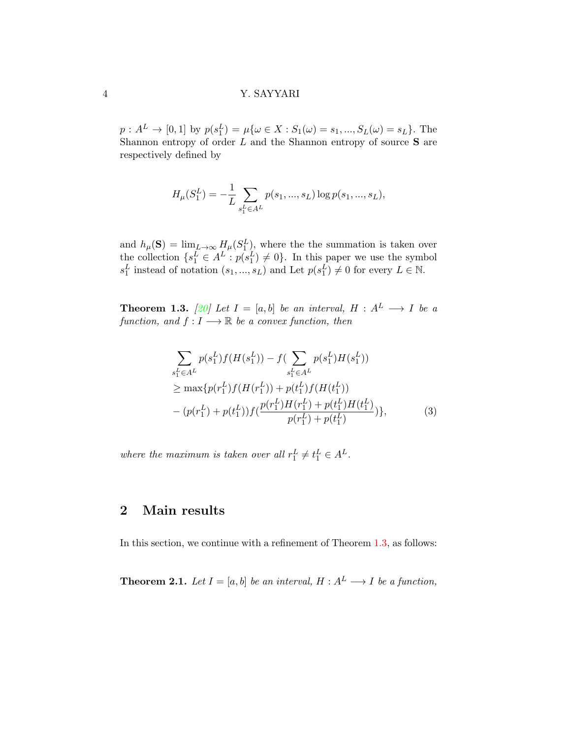$p: A^L \to [0,1]$  by  $p(s_1^L) = \mu\{\omega \in X : S_1(\omega) = s_1, ..., S_L(\omega) = s_L\}.$  The Shannon entropy of order  $L$  and the Shannon entropy of source  $S$  are respectively defined by

$$
H_{\mu}(S_1^L) = -\frac{1}{L} \sum_{s_1^L \in A^L} p(s_1, ..., s_L) \log p(s_1, ..., s_L),
$$

and  $h_\mu(\mathbf{S}) = \lim_{L \to \infty} H_\mu(S_1^L)$ , where the summation is taken over the collection  $\{s_1^L \in A^L : p(s_1^L) \neq 0\}$ . In this paper we use the symbol  $s_1^L$  instead of notation  $(s_1, ..., s_L)$  and Let  $p(s_1^L) \neq 0$  for every  $L \in \mathbb{N}$ .

<span id="page-3-0"></span>**Theorem 1.3.** [\[20\]](#page-11-4) Let  $I = [a, b]$  be an interval,  $H : A^L \longrightarrow I$  be a function, and  $f: I \longrightarrow \mathbb{R}$  be a convex function, then

$$
\sum_{s_1^L \in A^L} p(s_1^L) f(H(s_1^L)) - f(\sum_{s_1^L \in A^L} p(s_1^L) H(s_1^L))
$$
  
\n
$$
\geq \max \{ p(r_1^L) f(H(r_1^L)) + p(t_1^L) f(H(t_1^L))
$$
  
\n
$$
- (p(r_1^L) + p(t_1^L)) f(\frac{p(r_1^L)H(r_1^L) + p(t_1^L)H(t_1^L)}{p(r_1^L) + p(t_1^L)}) \},
$$
\n(3)

where the maximum is taken over all  $r_1^L \neq t_1^L \in A^L$ .

# 2 Main results

In this section, we continue with a refinement of Theorem [1.3,](#page-3-0) as follows:

<span id="page-3-1"></span>**Theorem 2.1.** Let  $I = [a, b]$  be an interval,  $H : A^L \longrightarrow I$  be a function,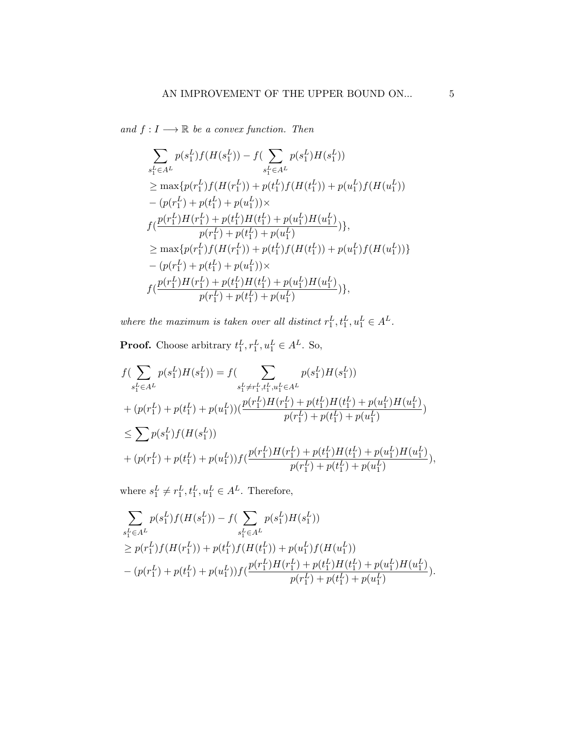and  $f: I \longrightarrow \mathbb{R}$  be a convex function. Then

$$
\sum_{s_1^L \in A^L} p(s_1^L) f(H(s_1^L)) - f(\sum_{s_1^L \in A^L} p(s_1^L) H(s_1^L))
$$
\n
$$
\geq \max\{p(r_1^L) f(H(r_1^L)) + p(t_1^L) f(H(t_1^L)) + p(u_1^L) f(H(u_1^L))
$$
\n
$$
-(p(r_1^L) + p(t_1^L) + p(u_1^L)) \times
$$
\n
$$
f(\frac{p(r_1^L)H(r_1^L) + p(t_1^L)H(t_1^L) + p(u_1^L)H(u_1^L)}{p(r_1^L) + p(t_1^L) + p(u_1^L)})
$$
\n
$$
\geq \max\{p(r_1^L) f(H(r_1^L)) + p(t_1^L) f(H(t_1^L)) + p(u_1^L) f(H(u_1^L))\}
$$
\n
$$
-(p(r_1^L) + p(t_1^L) + p(u_1^L)) \times
$$
\n
$$
f(\frac{p(r_1^L)H(r_1^L) + p(t_1^L)H(t_1^L) + p(u_1^L)H(u_1^L)}{p(r_1^L) + p(t_1^L) + p(u_1^L)})
$$

where the maximum is taken over all distinct  $r_1^L, t_1^L, u_1^L \in A^L$ .

**Proof.** Choose arbitrary  $t_1^L, r_1^L, u_1^L \in A^L$ . So,

$$
f(\sum_{s_1^L \in A^L} p(s_1^L)H(s_1^L)) = f(\sum_{s_1^L \neq r_1^L, t_1^L, u_1^L \in A^L} p(s_1^L)H(s_1^L))
$$
  
+ 
$$
(p(r_1^L) + p(t_1^L) + p(u_1^L))(\frac{p(r_1^L)H(r_1^L) + p(t_1^L)H(t_1^L) + p(u_1^L)H(u_1^L)}{p(r_1^L) + p(t_1^L) + p(u_1^L)}
$$
  

$$
\leq \sum p(s_1^L) f(H(s_1^L))
$$
  
+ 
$$
(p(r_1^L) + p(t_1^L) + p(u_1^L)) f(\frac{p(r_1^L)H(r_1^L) + p(t_1^L)H(t_1^L) + p(u_1^L)H(u_1^L)}{p(r_1^L) + p(t_1^L) + p(u_1^L)}),
$$

where  $s_1^L \neq r_1^L, t_1^L, u_1^L \in A^L$ . Therefore,

$$
\sum_{s_1^L \in A^L} p(s_1^L) f(H(s_1^L)) - f(\sum_{s_1^L \in A^L} p(s_1^L) H(s_1^L))
$$
\n
$$
\geq p(r_1^L) f(H(r_1^L)) + p(t_1^L) f(H(t_1^L)) + p(u_1^L) f(H(u_1^L))
$$
\n
$$
- (p(r_1^L) + p(t_1^L) + p(u_1^L)) f(\frac{p(r_1^L)H(r_1^L) + p(t_1^L)H(t_1^L) + p(u_1^L)H(u_1^L)}{p(r_1^L) + p(t_1^L) + p(u_1^L)}).
$$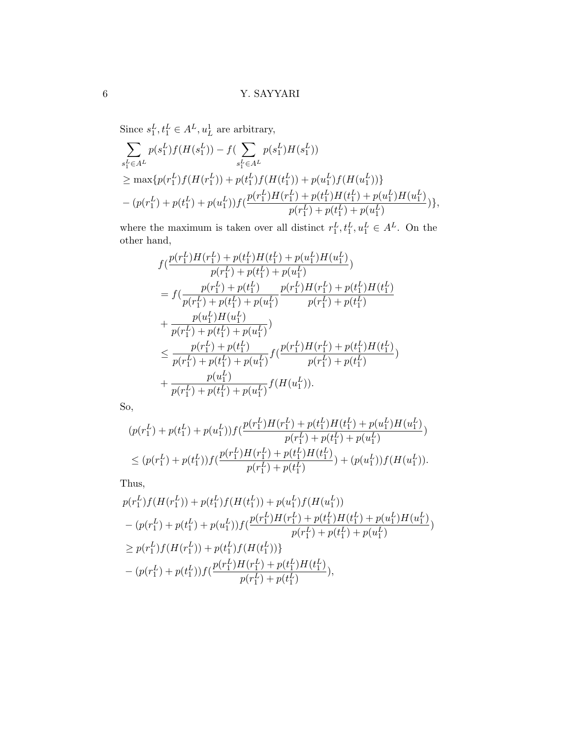Since  $s_1^L, t_1^L \in A^L, u_L^1$  are arbitrary,

$$
\sum_{s_1^L \in A^L} p(s_1^L) f(H(s_1^L)) - f(\sum_{s_1^L \in A^L} p(s_1^L) H(s_1^L))
$$
\n
$$
\geq \max \{ p(r_1^L) f(H(r_1^L)) + p(t_1^L) f(H(t_1^L)) + p(u_1^L) f(H(u_1^L)) \}
$$
\n
$$
- (p(r_1^L) + p(t_1^L) + p(u_1^L)) f(\frac{p(r_1^L)H(r_1^L) + p(t_1^L)H(t_1^L) + p(u_1^L)H(u_1^L)}{p(r_1^L) + p(t_1^L) + p(u_1^L)}) \},
$$

where the maximum is taken over all distinct  $r_1^L, t_1^L, u_1^L \in A^L$ . On the other hand,

$$
f\left(\frac{p(r_1^L)H(r_1^L) + p(t_1^L)H(t_1^L) + p(u_1^L)H(u_1^L)}{p(r_1^L) + p(t_1^L) + p(u_1^L)}\right)
$$
\n
$$
= f\left(\frac{p(r_1^L) + p(t_1^L)}{p(r_1^L) + p(t_1^L) + p(u_1^L)}\right) \frac{p(r_1^L)H(r_1^L) + p(t_1^L)H(t_1^L)}{p(r_1^L) + p(t_1^L)}
$$
\n
$$
+ \frac{p(u_1^L)H(u_1^L)}{p(r_1^L) + p(t_1^L) + p(u_1^L)}
$$
\n
$$
\leq \frac{p(r_1^L) + p(t_1^L)}{p(r_1^L) + p(t_1^L) + p(u_1^L)} f\left(\frac{p(r_1^L)H(r_1^L) + p(t_1^L)H(t_1^L)}{p(r_1^L) + p(t_1^L)}\right)
$$
\n
$$
+ \frac{p(u_1^L)}{p(r_1^L) + p(t_1^L) + p(u_1^L)} f\left(H(u_1^L)\right).
$$

So,

$$
(p(r_1^L) + p(t_1^L) + p(u_1^L))f(\frac{p(r_1^L)H(r_1^L) + p(t_1^L)H(t_1^L) + p(u_1^L)H(u_1^L)}{p(r_1^L) + p(t_1^L) + p(u_1^L)}
$$
  
\n
$$
\leq (p(r_1^L) + p(t_1^L))f(\frac{p(r_1^L)H(r_1^L) + p(t_1^L)H(t_1^L)}{p(r_1^L) + p(t_1^L)}) + (p(u_1^L))f(H(u_1^L)).
$$

Thus,

$$
p(r_1^L)f(H(r_1^L)) + p(t_1^L)f(H(t_1^L)) + p(u_1^L)f(H(u_1^L))
$$
  
\n
$$
- (p(r_1^L) + p(t_1^L) + p(u_1^L))f(\frac{p(r_1^L)H(r_1^L) + p(t_1^L)H(t_1^L) + p(u_1^L)H(u_1^L)}{p(r_1^L) + p(t_1^L) + p(u_1^L)}
$$
  
\n
$$
\geq p(r_1^L)f(H(r_1^L)) + p(t_1^L)f(H(t_1^L))
$$
  
\n
$$
- (p(r_1^L) + p(t_1^L))f(\frac{p(r_1^L)H(r_1^L) + p(t_1^L)H(t_1^L)}{p(r_1^L) + p(t_1^L)}),
$$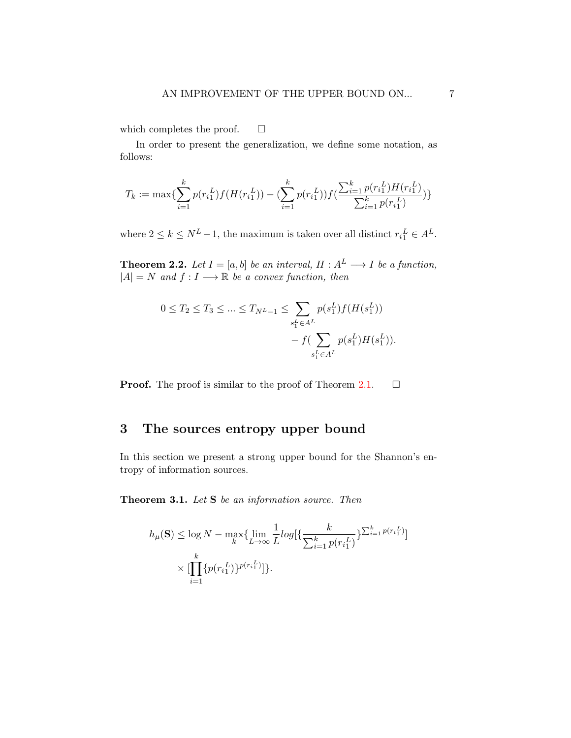which completes the proof.  $\square$ 

In order to present the generalization, we define some notation, as follows:

$$
T_k := \max\{\sum_{i=1}^k p(r_i_1^L)f(H(r_i_1^L)) - (\sum_{i=1}^k p(r_i_1^L))f(\frac{\sum_{i=1}^k p(r_i_1^L)H(r_i_1^L)}{\sum_{i=1}^k p(r_i_1^L)})\}
$$

where  $2 \le k \le N^L - 1$ , the maximum is taken over all distinct  $r_i^L \in A^L$ .

**Theorem 2.2.** Let  $I = [a, b]$  be an interval,  $H : A^L \longrightarrow I$  be a function,  $|A| = N$  and  $f: I \longrightarrow \mathbb{R}$  be a convex function, then

$$
0 \le T_2 \le T_3 \le \dots \le T_{N^L - 1} \le \sum_{s_1^L \in A^L} p(s_1^L) f(H(s_1^L)) - f(\sum_{s_1^L \in A^L} p(s_1^L) H(s_1^L)).
$$

**Proof.** The proof is similar to the proof of Theorem [2.1.](#page-3-1)  $\Box$ 

# 3 The sources entropy upper bound

In this section we present a strong upper bound for the Shannon's entropy of information sources.

<span id="page-6-0"></span>Theorem 3.1. Let S be an information source. Then

$$
h_{\mu}(\mathbf{S}) \le \log N - \max_{k} \{ \lim_{L \to \infty} \frac{1}{L} log \{ \frac{k}{\sum_{i=1}^{k} p(r_i_1^L)} \}^{\sum_{i=1}^{k} p(r_i_1^L)} \} \times [\prod_{i=1}^{k} \{ p(r_i_1^L) \}^{p(r_i_1^L)}] \}.
$$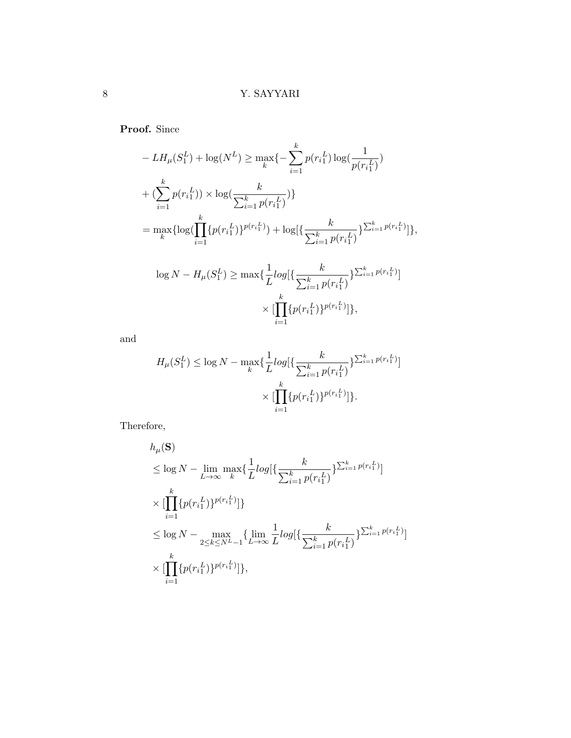Proof. Since

$$
- LH_{\mu}(S_1^L) + \log(N^L) \ge \max_k \{-\sum_{i=1}^k p(r_{i1}^L) \log(\frac{1}{p(r_i^L)}) + (\sum_{i=1}^k p(r_{i1}^L)) \times \log(\frac{k}{\sum_{i=1}^k p(r_i^L)})\}
$$
  

$$
= \max_k \{\log(\prod_{i=1}^k \{p(r_i^L)\}^{p(r_i^L)}) + \log[\{\frac{k}{\sum_{i=1}^k p(r_i^L)}\}^{\sum_{i=1}^k p(r_i^L)}\}] \times
$$

$$
\log N - H_{\mu}(S_1^L) \ge \max\{\frac{1}{L}log[\{\frac{k}{\sum_{i=1}^k p(r_i^L)}\}^{\sum_{i=1}^k p(r_i^L)}]\}
$$

$$
\times \left[\prod_{i=1}^k \{p(r_i^L)\}^{p(r_i^L)}\right]\},
$$

and

$$
H_{\mu}(S_1^L) \le \log N - \max_{k} \{ \frac{1}{L} log[\{\frac{k}{\sum_{i=1}^k p(r_i_1^L)} \}^{\sum_{i=1}^k p(r_i_1^L)}] \times [\prod_{i=1}^k \{p(r_i_1^L)\}^{p(r_i_1^L)}] \}.
$$

Therefore,

$$
h_{\mu}(\mathbf{S})
$$
  
\n
$$
\leq \log N - \lim_{L \to \infty} \max_{k} \{ \frac{1}{L} log[\{\frac{k}{\sum_{i=1}^{k} p(r_i_1^L)} \}^{\sum_{i=1}^{k} p(r_i_1^L)}]
$$
  
\n
$$
\times [\prod_{i=1}^{k} \{ p(r_i_1^L) \}^{p(r_i_1^L)} ] \}
$$
  
\n
$$
\leq \log N - \max_{2 \leq k \leq N^L - 1} \{ \lim_{L \to \infty} \frac{1}{L} log[\{\frac{k}{\sum_{i=1}^{k} p(r_i_1^L)} \}^{\sum_{i=1}^{k} p(r_i_1^L)} ] \}
$$
  
\n
$$
\times [\prod_{i=1}^{k} \{ p(r_i_1^L) \}^{p(r_i_1^L)} ] \},
$$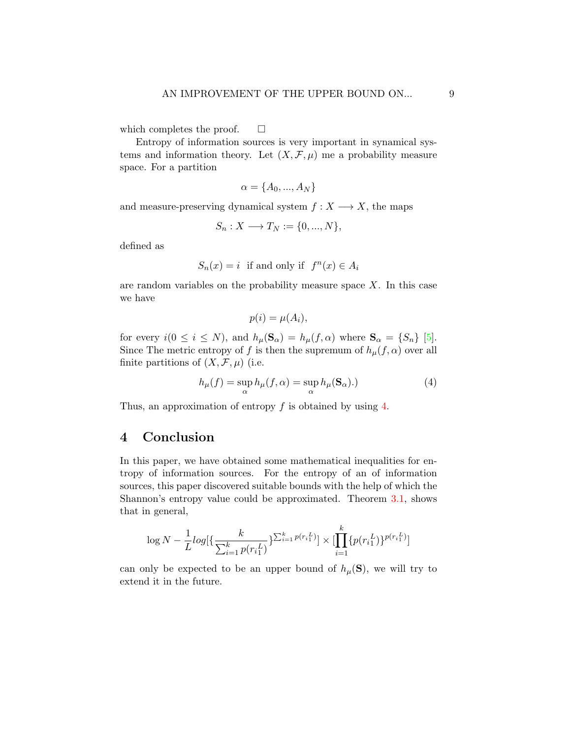which completes the proof.  $\square$ 

Entropy of information sources is very important in synamical systems and information theory. Let  $(X, \mathcal{F}, \mu)$  me a probability measure space. For a partition

$$
\alpha = \{A_0, ..., A_N\}
$$

and measure-preserving dynamical system  $f : X \longrightarrow X$ , the maps

$$
S_n: X \longrightarrow T_N := \{0, ..., N\},\
$$

defined as

$$
S_n(x) = i \text{ if and only if } f^n(x) \in A_i
$$

are random variables on the probability measure space  $X$ . In this case we have

<span id="page-8-0"></span>
$$
p(i) = \mu(A_i),
$$

for every  $i(0 \le i \le N)$ , and  $h_{\mu}(\mathbf{S}_{\alpha}) = h_{\mu}(f, \alpha)$  where  $\mathbf{S}_{\alpha} = \{S_n\}$  [\[5\]](#page-9-7). Since The metric entropy of f is then the supremum of  $h_{\mu}(f,\alpha)$  over all finite partitions of  $(X, \mathcal{F}, \mu)$  (i.e.

$$
h_{\mu}(f) = \sup_{\alpha} h_{\mu}(f, \alpha) = \sup_{\alpha} h_{\mu}(\mathbf{S}_{\alpha}).
$$
\n(4)

Thus, an approximation of entropy  $f$  is obtained by using  $4$ .

### 4 Conclusion

In this paper, we have obtained some mathematical inequalities for entropy of information sources. For the entropy of an of information sources, this paper discovered suitable bounds with the help of which the Shannon's entropy value could be approximated. Theorem [3.1,](#page-6-0) shows that in general,

$$
\log N - \frac{1}{L} log \left\{ \frac{k}{\sum_{i=1}^{k} p(r_i_1^L)} \right\}^{\sum_{i=1}^{k} p(r_i_1^L)} \times \left[ \prod_{i=1}^{k} \{ p(r_i_1^L) \}^{p(r_i_1^L)} \right]
$$

can only be expected to be an upper bound of  $h_\mu(\mathbf{S})$ , we will try to extend it in the future.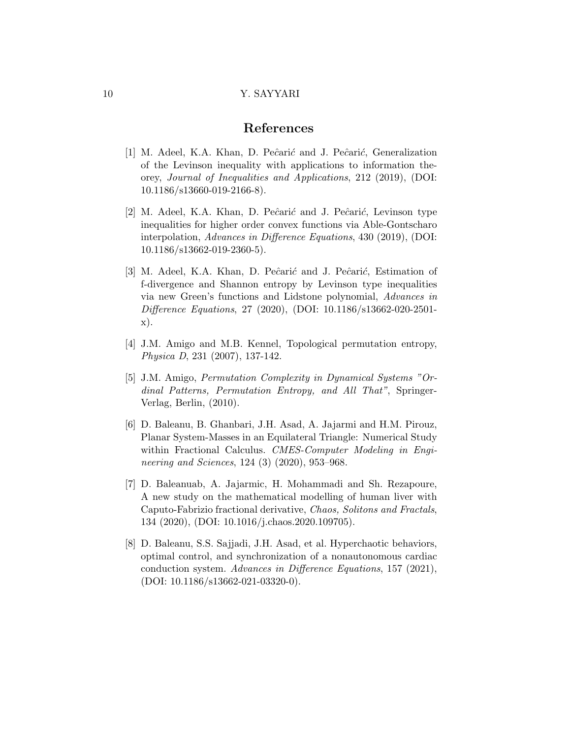### References

- <span id="page-9-0"></span>[1] M. Adeel, K.A. Khan, D. Peĉarić and J. Peĉarić, Generalization of the Levinson inequality with applications to information theorey, Journal of Inequalities and Applications, 212 (2019), (DOI: 10.1186/s13660-019-2166-8).
- <span id="page-9-1"></span>[2] M. Adeel, K.A. Khan, D. Peĉarić and J. Peĉarić, Levinson type inequalities for higher order convex functions via Able-Gontscharo interpolation, Advances in Difference Equations, 430 (2019), (DOI: 10.1186/s13662-019-2360-5).
- <span id="page-9-2"></span>[3] M. Adeel, K.A. Khan, D. Peĉarić and J. Peĉarić, Estimation of f-divergence and Shannon entropy by Levinson type inequalities via new Green's functions and Lidstone polynomial, Advances in Difference Equations, 27 (2020), (DOI: 10.1186/s13662-020-2501 x).
- <span id="page-9-6"></span>[4] J.M. Amigo and M.B. Kennel, Topological permutation entropy, Physica D, 231 (2007), 137-142.
- <span id="page-9-7"></span>[5] J.M. Amigo, Permutation Complexity in Dynamical Systems "Ordinal Patterns, Permutation Entropy, and All That", Springer-Verlag, Berlin, (2010).
- <span id="page-9-3"></span>[6] D. Baleanu, B. Ghanbari, J.H. Asad, A. Jajarmi and H.M. Pirouz, Planar System-Masses in an Equilateral Triangle: Numerical Study within Fractional Calculus. CMES-Computer Modeling in Engineering and Sciences, 124 (3) (2020), 953-968.
- <span id="page-9-4"></span>[7] D. Baleanuab, A. Jajarmic, H. Mohammadi and Sh. Rezapoure, A new study on the mathematical modelling of human liver with Caputo-Fabrizio fractional derivative, Chaos, Solitons and Fractals, 134 (2020), (DOI: 10.1016/j.chaos.2020.109705).
- <span id="page-9-5"></span>[8] D. Baleanu, S.S. Sajjadi, J.H. Asad, et al. Hyperchaotic behaviors, optimal control, and synchronization of a nonautonomous cardiac conduction system. Advances in Difference Equations, 157 (2021), (DOI: 10.1186/s13662-021-03320-0).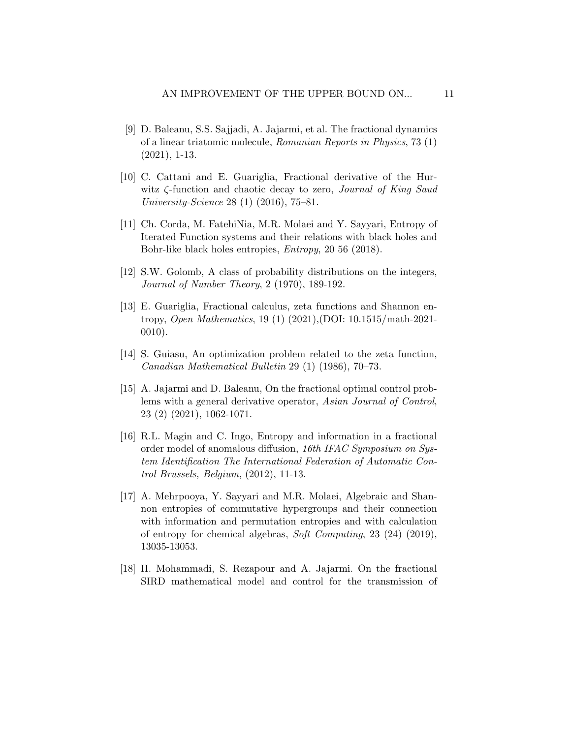- <span id="page-10-6"></span>[9] D. Baleanu, S.S. Sajjadi, A. Jajarmi, et al. The fractional dynamics of a linear triatomic molecule, Romanian Reports in Physics, 73 (1) (2021), 1-13.
- <span id="page-10-7"></span>[10] C. Cattani and E. Guariglia, Fractional derivative of the Hurwitz ζ-function and chaotic decay to zero, Journal of King Saud University-Science 28 (1) (2016), 75–81.
- <span id="page-10-8"></span>[11] Ch. Corda, M. FatehiNia, M.R. Molaei and Y. Sayyari, Entropy of Iterated Function systems and their relations with black holes and Bohr-like black holes entropies, Entropy, 20 56 (2018).
- <span id="page-10-1"></span>[12] S.W. Golomb, A class of probability distributions on the integers, Journal of Number Theory, 2 (1970), 189-192.
- <span id="page-10-3"></span>[13] E. Guariglia, Fractional calculus, zeta functions and Shannon entropy, Open Mathematics, 19 (1) (2021),(DOI: 10.1515/math-2021- 0010).
- <span id="page-10-2"></span>[14] S. Guiasu, An optimization problem related to the zeta function, Canadian Mathematical Bulletin 29 (1) (1986), 70–73.
- <span id="page-10-5"></span>[15] A. Jajarmi and D. Baleanu, On the fractional optimal control problems with a general derivative operator, Asian Journal of Control, 23 (2) (2021), 1062-1071.
- <span id="page-10-0"></span>[16] R.L. Magin and C. Ingo, Entropy and information in a fractional order model of anomalous diffusion, 16th IFAC Symposium on System Identification The International Federation of Automatic Control Brussels, Belgium, (2012), 11-13.
- <span id="page-10-9"></span>[17] A. Mehrpooya, Y. Sayyari and M.R. Molaei, Algebraic and Shannon entropies of commutative hypergroups and their connection with information and permutation entropies and with calculation of entropy for chemical algebras, Soft Computing, 23 (24) (2019), 13035-13053.
- <span id="page-10-4"></span>[18] H. Mohammadi, S. Rezapour and A. Jajarmi. On the fractional SIRD mathematical model and control for the transmission of